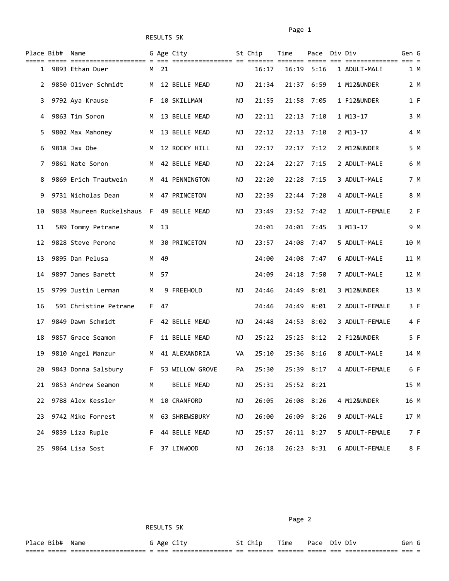|    | Place Bib# Name |                            |    |      | G Age City          |    | St Chip | Time           | Pace Div Div |                | Gen G |  |
|----|-----------------|----------------------------|----|------|---------------------|----|---------|----------------|--------------|----------------|-------|--|
|    |                 | 1 9893 Ethan Duer          |    | M 21 |                     |    | 16:17   | $16:19$ $5:16$ |              | 1 ADULT-MALE   | 1 M   |  |
| 2  |                 | 9850 Oliver Schmidt        | M  |      | 12 BELLE MEAD       | ΝJ | 21:34   | 21:37          | 6:59         | 1 M12&UNDER    | 2 M   |  |
| 3. |                 | 9792 Aya Krause            | F. |      | 10 SKILLMAN         | ΝJ | 21:55   | 21:58          | 7:05         | 1 F12&UNDER    | 1 F   |  |
| 4  |                 | 9863 Tim Soron             | M  |      | 13 BELLE MEAD       | ΝJ | 22:11   | 22:13          | 7:10         | 1 M13-17       | 3 M   |  |
| 5. |                 | 9802 Max Mahoney           | M  |      | 13 BELLE MEAD       | ΝJ | 22:12   | 22:13          | 7:10         | 2 M13-17       | 4 M   |  |
| 6  |                 | 9818 Jax Obe               | M  |      | 12 ROCKY HILL       | ΝJ | 22:17   |                | $22:17$ 7:12 | 2 M12&UNDER    | 5 M   |  |
| 7  |                 | 9861 Nate Soron            | M  |      | 42 BELLE MEAD       | ΝJ | 22:24   | 22:27          | 7:15         | 2 ADULT-MALE   | 6 M   |  |
| 8  |                 | 9869 Erich Trautwein       | M  |      | 41 PENNINGTON       | ΝJ | 22:20   | 22:28          | 7:15         | 3 ADULT-MALE   | 7 M   |  |
| 9  |                 | 9731 Nicholas Dean         | M  |      | 47 PRINCETON        | ΝJ | 22:39   | 22:44          | 7:20         | 4 ADULT-MALE   | 8 M   |  |
| 10 |                 | 9838 Maureen Ruckelshaus F |    |      | 49 BELLE MEAD       | ΝJ | 23:49   |                | 23:52 7:42   | 1 ADULT-FEMALE | 2 F   |  |
| 11 |                 | 589 Tommy Petrane          |    | M 13 |                     |    | 24:01   | 24:01 7:45     |              | 3 M13-17       | 9 M   |  |
| 12 |                 | 9828 Steve Perone          | M  |      | <b>30 PRINCETON</b> | ΝJ | 23:57   | 24:08          | 7:47         | 5 ADULT-MALE   | 10 M  |  |
| 13 |                 | 9895 Dan Pelusa            | M  | 49   |                     |    | 24:00   | 24:08          | 7:47         | 6 ADULT-MALE   | 11 M  |  |
| 14 |                 | 9897 James Barett          | M  | 57   |                     |    | 24:09   | 24:18          | 7:50         | 7 ADULT-MALE   | 12 M  |  |
| 15 |                 | 9799 Justin Lerman         | M  |      | 9 FREEHOLD          | ΝJ | 24:46   | 24:49          | 8:01         | 3 M12&UNDER    | 13 M  |  |
| 16 |                 | 591 Christine Petrane      | F. | 47   |                     |    | 24:46   |                | 24:49 8:01   | 2 ADULT-FEMALE | 3 F   |  |
| 17 |                 | 9849 Dawn Schmidt          | F. |      | 42 BELLE MEAD       | ΝJ | 24:48   |                | 24:53 8:02   | 3 ADULT-FEMALE | 4 F   |  |
| 18 |                 | 9857 Grace Seamon          | F. |      | 11 BELLE MEAD       | ΝJ | 25:22   |                | $25:25$ 8:12 | 2 F12&UNDER    | 5 F   |  |
| 19 |                 | 9810 Angel Manzur          | M  |      | 41 ALEXANDRIA       | VA | 25:10   | 25:36          | 8:16         | 8 ADULT-MALE   | 14 M  |  |
| 20 |                 | 9843 Donna Salsbury        |    |      | F 53 WILLOW GROVE   | PA | 25:30   |                | 25:39 8:17   | 4 ADULT-FEMALE | 6 F   |  |
|    |                 | 21 9853 Andrew Seamon      | M  |      | BELLE MEAD          | ΝJ | 25:31   | 25:52 8:21     |              |                | 15 M  |  |
| 22 |                 | 9788 Alex Kessler          | M  |      | 10 CRANFORD         | ΝJ | 26:05   |                | 26:08 8:26   | 4 M12&UNDER    | 16 M  |  |
| 23 |                 | 9742 Mike Forrest          |    |      | M 63 SHREWSBURY     | ΝJ | 26:00   |                | 26:09 8:26   | 9 ADULT-MALE   | 17 M  |  |
| 24 |                 | 9839 Liza Ruple            | F. |      | 44 BELLE MEAD       | ΝJ | 25:57   |                | 26:11 8:27   | 5 ADULT-FEMALE | 7 F   |  |
| 25 |                 | 9864 Lisa Sost             | F. |      | 37 LINWOOD          | ΝJ | 26:18   |                | 26:23 8:31   | 6 ADULT-FEMALE | 8 F   |  |

Page 2 and the contract of the contract of the contract of the contract of the contract of the contract of the

Place Bib# Name The G Age City St Chip Time Pace Div Div Gen G ===== ===== ==================== = === ================ == ======= ======= ===== === ============== === =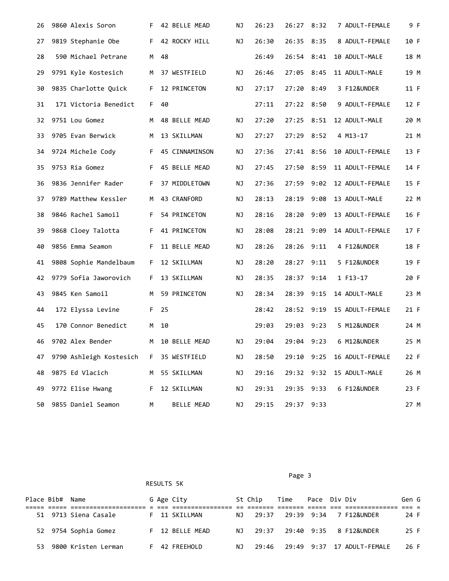| 26 | 9860 Alexis Soron       |    | F 42 BELLE MEAD | ΝJ | 26:23 | 26:27 8:32   |            | 7 ADULT-FEMALE             | 9 F  |
|----|-------------------------|----|-----------------|----|-------|--------------|------------|----------------------------|------|
| 27 | 9819 Stephanie Obe      | F. | 42 ROCKY HILL   | NJ | 26:30 | 26:35 8:35   |            | 8 ADULT-FEMALE             | 10 F |
| 28 | 590 Michael Petrane     | M  | 48              |    | 26:49 | 26:54 8:41   |            | 10 ADULT-MALE              | 18 M |
| 29 | 9791 Kyle Kostesich     | М  | 37 WESTFIELD    | ΝJ | 26:46 | 27:05 8:45   |            | 11 ADULT-MALE              | 19 M |
| 30 | 9835 Charlotte Quick    | F. | 12 PRINCETON    | NJ | 27:17 | 27:20 8:49   |            | 3 F12&UNDER                | 11 F |
| 31 | 171 Victoria Benedict   | F. | 40              |    | 27:11 | $27:22$ 8:50 |            | 9 ADULT-FEMALE             | 12 F |
| 32 | 9751 Lou Gomez          | M  | 48 BELLE MEAD   | ΝJ | 27:20 | $27:25$ 8:51 |            | 12 ADULT-MALE              | 20 M |
| 33 | 9705 Evan Berwick       | M  | 13 SKILLMAN     | ΝJ | 27:27 | 27:29 8:52   |            | 4 M13-17                   | 21 M |
| 34 | 9724 Michele Cody       | F. | 45 CINNAMINSON  | ΝJ | 27:36 | 27:41 8:56   |            | 10 ADULT-FEMALE            | 13 F |
| 35 | 9753 Ria Gomez          | F. | 45 BELLE MEAD   | ΝJ | 27:45 | 27:50 8:59   |            | 11 ADULT-FEMALE            | 14 F |
| 36 | 9836 Jennifer Rader     | F. | 37 MIDDLETOWN   | ΝJ | 27:36 | 27:59        | 9:02       | 12 ADULT-FEMALE            | 15 F |
| 37 | 9789 Matthew Kessler    | M  | 43 CRANFORD     | ΝJ | 28:13 | 28:19        | 9:08       | 13 ADULT-MALE              | 22 M |
| 38 | 9846 Rachel Samoil      | F. | 54 PRINCETON    | ΝJ | 28:16 | 28:20        | 9:09       | 13 ADULT-FEMALE            | 16 F |
| 39 | 9868 Cloey Talotta      | F. | 41 PRINCETON    | ΝJ | 28:08 | 28:21        | 9:09       | 14 ADULT-FEMALE            | 17 F |
| 40 | 9856 Emma Seamon        | F. | 11 BELLE MEAD   | ΝJ | 28:26 | 28:26        | 9:11       | 4 F12&UNDER                | 18 F |
| 41 | 9808 Sophie Mandelbaum  | F. | 12 SKILLMAN     | ΝJ | 28:20 | 28:27        | 9:11       | 5 F12&UNDER                | 19 F |
| 42 | 9779 Sofia Jaworovich   | F. | 13 SKILLMAN     | ΝJ | 28:35 | 28:37 9:14   |            | 1 F13-17                   | 20 F |
| 43 | 9845 Ken Samoil         | M  | 59 PRINCETON    | ΝJ | 28:34 | 28:39        | 9:15       | 14 ADULT-MALE              | 23 M |
| 44 | 172 Elyssa Levine       | F. | 25              |    | 28:42 | 28:52 9:19   |            | 15 ADULT-FEMALE            | 21 F |
| 45 | 170 Connor Benedict     | M  | 10              |    | 29:03 | 29:03        | 9:23       | 5 M12&UNDER                | 24 M |
| 46 | 9702 Alex Bender        | M  | 10 BELLE MEAD   | ΝJ | 29:04 | 29:04 9:23   |            | 6 M12&UNDER                | 25 M |
| 47 | 9790 Ashleigh Kostesich | F. | 35 WESTFIELD    | ΝJ | 28:50 |              |            | 29:10 9:25 16 ADULT-FEMALE | 22 F |
| 48 | 9875 Ed Vlacich         | M  | 55 SKILLMAN     | ΝJ | 29:16 |              | 29:32 9:32 | 15 ADULT-MALE              | 26 M |
| 49 | 9772 Elise Hwang        | F. | 12 SKILLMAN     | ΝJ | 29:31 | 29:35 9:33   |            | 6 F12&UNDER                | 23 F |
| 50 | 9855 Daniel Seamon      | М  | BELLE MEAD      | ΝJ | 29:15 | 29:37 9:33   |            |                            | 27 M |

Page 3 and 2012 and 2012 and 2012 and 2012 and 2012 and 2012 and 2012 and 2012 and 2012 and 2012 and 2012 and

|     | Place Bib# Name |                      |  | G Age City      |     | St Chip | Time | Pace Div Div |                                 | Gen G |  |
|-----|-----------------|----------------------|--|-----------------|-----|---------|------|--------------|---------------------------------|-------|--|
|     |                 |                      |  |                 |     |         |      |              |                                 |       |  |
|     |                 | 51 9713 Siena Casale |  | F 11 SKILLMAN   |     |         |      |              | NJ 29:37 29:39 9:34 7 F12&UNDER | 24 F  |  |
|     |                 | 52 9754 Sophia Gomez |  | F 12 BELLE MEAD | N T | 29:37   |      |              | 29:40 9:35 8 F12&UNDER          | 25 F  |  |
| 53. |                 | 9800 Kristen Lerman  |  | F 42 FREEHOLD   | NJ. | 29:46   |      |              |                                 | 26 F  |  |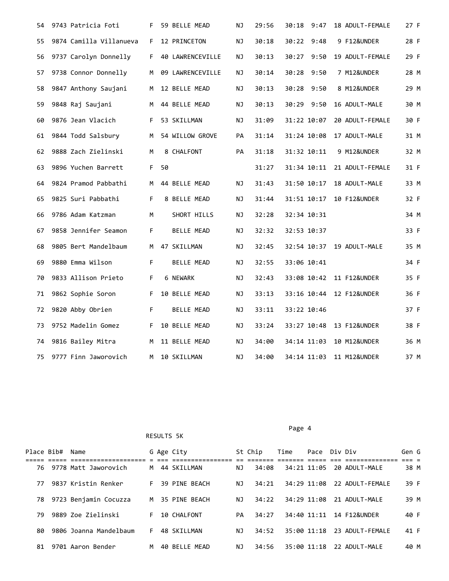| 54 | 9743 Patricia Foti      | F. | 59 BELLE MEAD    | ΝJ | 29:56 | 30:18<br>9:47 | 18 ADULT-FEMALE           | 27 F |
|----|-------------------------|----|------------------|----|-------|---------------|---------------------------|------|
| 55 | 9874 Camilla Villanueva | F. | 12 PRINCETON     | NJ | 30:18 | 30:22<br>9:48 | 9 F12&UNDER               | 28 F |
| 56 | 9737 Carolyn Donnelly   | F. | 40 LAWRENCEVILLE | NJ | 30:13 | 30:27<br>9:50 | 19 ADULT-FEMALE           | 29 F |
| 57 | 9738 Connor Donnelly    | M  | 09 LAWRENCEVILLE | NJ | 30:14 | 30:28 9:50    | 7 M12&UNDER               | 28 M |
| 58 | 9847 Anthony Saujani    | M  | 12 BELLE MEAD    | ΝJ | 30:13 | 9:50<br>30:28 | 8 M12&UNDER               | 29 M |
| 59 | 9848 Raj Saujani        | M  | 44 BELLE MEAD    | NJ | 30:13 | 9:50<br>30:29 | 16 ADULT-MALE             | 30 M |
| 60 | 9876 Jean Vlacich       | F. | 53 SKILLMAN      | NJ | 31:09 | 31:22 10:07   | 20 ADULT-FEMALE           | 30 F |
| 61 | 9844 Todd Salsbury      | M  | 54 WILLOW GROVE  | PA | 31:14 | 31:24 10:08   | 17 ADULT-MALE             | 31 M |
| 62 | 9888 Zach Zielinski     | M  | 8 CHALFONT       | PA | 31:18 | 31:32 10:11   | 9 M12&UNDER               | 32 M |
| 63 | 9896 Yuchen Barrett     | F. | 50               |    | 31:27 | 31:34 10:11   | 21 ADULT-FEMALE           | 31 F |
| 64 | 9824 Pramod Pabbathi    | M  | 44 BELLE MEAD    | ΝJ | 31:43 | 31:50 10:17   | 18 ADULT-MALE             | 33 M |
| 65 | 9825 Suri Pabbathi      | F. | 8 BELLE MEAD     | ΝJ | 31:44 | 31:51 10:17   | 10 F12&UNDER              | 32 F |
| 66 | 9786 Adam Katzman       | M  | SHORT HILLS      | ΝJ | 32:28 | 32:34 10:31   |                           | 34 M |
| 67 | 9858 Jennifer Seamon    | F  | BELLE MEAD       | ΝJ | 32:32 | 32:53 10:37   |                           | 33 F |
| 68 | 9805 Bert Mandelbaum    | M  | 47 SKILLMAN      | NJ | 32:45 |               | 32:54 10:37 19 ADULT-MALE | 35 M |
| 69 | 9880 Emma Wilson        | F. | BELLE MEAD       | ΝJ | 32:55 | 33:06 10:41   |                           | 34 F |
| 70 | 9833 Allison Prieto     | F. | 6 NEWARK         | ΝJ | 32:43 |               | 33:08 10:42 11 F12&UNDER  | 35 F |
| 71 | 9862 Sophie Soron       | F. | 10 BELLE MEAD    | ΝJ | 33:13 |               | 33:16 10:44 12 F12&UNDER  | 36 F |
| 72 | 9820 Abby Obrien        | F. | BELLE MEAD       | NJ | 33:11 | 33:22 10:46   |                           | 37 F |
| 73 | 9752 Madelin Gomez      | F. | 10 BELLE MEAD    | NJ | 33:24 |               | 33:27 10:48 13 F12&UNDER  | 38 F |
| 74 | 9816 Bailey Mitra       | M  | 11 BELLE MEAD    | NJ | 34:00 | 34:14 11:03   | 10 M12&UNDER              | 36 M |
| 75 | 9777 Finn Jaworovich    | M  | 10 SKILLMAN      | ΝJ | 34:00 | 34:14 11:03   | 11 M12&UNDER              | 37 M |

## Page 4 and the state of the state of the state of the state of the state of the state of the state of the state of the state of the state of the state of the state of the state of the state of the state of the state of the

| Place Bib# | Name                   |    | G Age City    |    | St Chip | Time        | Pace Div Div |                         | Gen G |  |
|------------|------------------------|----|---------------|----|---------|-------------|--------------|-------------------------|-------|--|
|            |                        |    |               |    |         |             |              |                         |       |  |
| 76.        | 9778 Matt Jaworovich   | M  | 44 SKILLMAN   | ΝJ | 34:08   | 34:21 11:05 |              | 20 ADULT-MALE           | 38 M  |  |
| 77         | 9837 Kristin Renker    | F. | 39 PTNF BFACH | ΝJ | 34:21   | 34:29 11:08 |              | 22 ADUIT-FFMAIF         | 39 F  |  |
| 78.        | 9723 Benjamin Cocuzza  | M  | 35 PTNF BFACH | ΝJ | 34:22   | 34:29 11:08 |              | 21 ADUIT-MAIF           | 39 M  |  |
| 79         | 9889 Zoe Zielinski     | F. | 10 CHALFONT   | PA | 34:27   | 34:40 11:11 |              | <b>14 F12&amp;UNDER</b> | 40 F  |  |
| 80         | 9806 Joanna Mandelbaum | F. | 48 SKILLMAN   | ΝJ | 34:52   | 35:00 11:18 |              | 23 ADULT-FEMALE         | 41 F  |  |
| 81         | 9701 Aaron Bender      | м  | 40 BELLE MEAD | ΝJ | 34:56   | 35:00 11:18 |              | 22 ADUIT-MAIF           | 40 M  |  |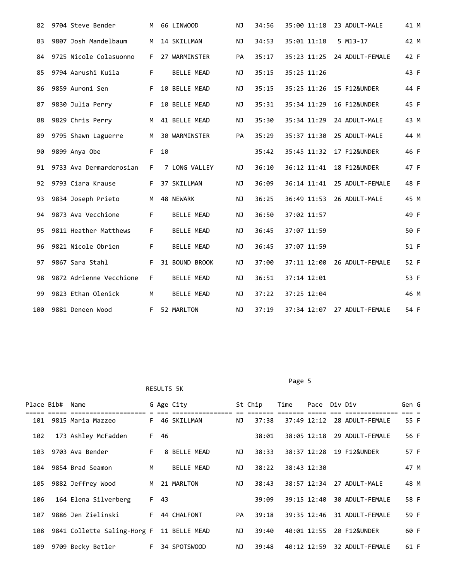| 82  | 9704 Steve Bender       | M  | 66 LINWOOD        | NJ | 34:56 | 35:00 11:18 | 23 ADULT-MALE               | 41 M |
|-----|-------------------------|----|-------------------|----|-------|-------------|-----------------------------|------|
| 83  | 9807 Josh Mandelbaum    | M  | 14 SKILLMAN       | NJ | 34:53 | 35:01 11:18 | $5$ M13-17                  | 42 M |
| 84  | 9725 Nicole Colasuonno  | F  | 27 WARMINSTER     | PA | 35:17 |             | 35:23 11:25 24 ADULT-FEMALE | 42 F |
| 85  | 9794 Aarushi Kuila      | F. | <b>BELLE MEAD</b> | ΝJ | 35:15 | 35:25 11:26 |                             | 43 F |
| 86  | 9859 Auroni Sen         | F. | 10 BELLE MEAD     | ΝJ | 35:15 |             | 35:25 11:26 15 F12&UNDER    | 44 F |
| 87  | 9830 Julia Perry        | F  | 10 BELLE MEAD     | NJ | 35:31 | 35:34 11:29 | 16 F12&UNDER                | 45 F |
| 88  | 9829 Chris Perry        |    | M 41 BELLE MEAD   | NJ | 35:30 | 35:34 11:29 | 24 ADULT-MALE               | 43 M |
| 89  | 9795 Shawn Laguerre     | M  | 30 WARMINSTER     | PA | 35:29 | 35:37 11:30 | 25 ADULT-MALE               | 44 M |
| 90  | 9899 Anya Obe           |    | $F$ 10            |    | 35:42 |             | 35:45 11:32 17 F12&UNDER    | 46 F |
| 91  | 9733 Ava Dermarderosian | F. | 7 LONG VALLEY     | NJ | 36:10 | 36:12 11:41 | 18 F12&UNDER                | 47 F |
| 92  | 9793 Ciara Krause       | F. | 37 SKILLMAN       | NJ | 36:09 | 36:14 11:41 | 25 ADULT-FEMALE             | 48 F |
| 93  | 9834 Joseph Prieto      | M  | 48 NEWARK         | ΝJ | 36:25 |             | 36:49 11:53 26 ADULT-MALE   | 45 M |
| 94  | 9873 Ava Vecchione      | F. | <b>BELLE MEAD</b> | ΝJ | 36:50 | 37:02 11:57 |                             | 49 F |
| 95  | 9811 Heather Matthews   | F. | <b>BELLE MEAD</b> | ΝJ | 36:45 | 37:07 11:59 |                             | 50 F |
| 96  | 9821 Nicole Obrien      | F. | BELLE MEAD        | ΝJ | 36:45 | 37:07 11:59 |                             | 51 F |
| 97  | 9867 Sara Stahl         | F  | 31 BOUND BROOK    | NJ | 37:00 |             | 37:11 12:00 26 ADULT-FEMALE | 52 F |
| 98  | 9872 Adrienne Vecchione | F. | <b>BELLE MEAD</b> | ΝJ | 36:51 | 37:14 12:01 |                             | 53 F |
| 99  | 9823 Ethan Olenick      | M  | <b>BELLE MEAD</b> | ΝJ | 37:22 | 37:25 12:04 |                             | 46 M |
| 100 | 9881 Deneen Wood        | F. | 52 MARLTON        | ΝJ | 37:19 |             | 37:34 12:07 27 ADULT-FEMALE | 54 F |

Page 5

|     | Place Bib# Name |                             |    |      | G Age City    |    | St Chip | Time        | Pace        | Div Div |                         | Gen G |  |
|-----|-----------------|-----------------------------|----|------|---------------|----|---------|-------------|-------------|---------|-------------------------|-------|--|
| 101 |                 | 9815 Maria Mazzeo           | F  |      | 46 SKILLMAN   | NJ | 37:38   | 37:49 12:12 |             |         | 28 ADULT-FEMALE         | 55 F  |  |
| 102 |                 | 173 Ashley McFadden         | F  | 46   |               |    | 38:01   |             | 38:05 12:18 |         | 29 ADULT-FEMALE         | 56 F  |  |
| 103 |                 | 9703 Ava Bender             | F. |      | 8 BELLE MEAD  | ΝJ | 38:33   |             | 38:37 12:28 |         | 19 F12&UNDER            | 57 F  |  |
| 104 |                 | 9854 Brad Seamon            | M  |      | BELLE MEAD    | ΝJ | 38:22   | 38:43 12:30 |             |         |                         | 47 M  |  |
| 105 |                 | 9882 Jeffrey Wood           | M  |      | 21 MARLTON    | ΝJ | 38:43   |             | 38:57 12:34 |         | 27 ADULT-MALE           | 48 M  |  |
| 106 |                 | 164 Elena Silverberg        |    | F 43 |               |    | 39:09   |             | 39:15 12:40 |         | 30 ADULT-FEMALE         | 58 F  |  |
| 107 |                 | 9886 Jen Zielinski          | F. |      | 44 CHALFONT   | PA | 39:18   |             | 39:35 12:46 |         | 31 ADULT-FEMALE         | 59 F  |  |
| 108 |                 | 9841 Collette Saling-Horg F |    |      | 11 BELLE MEAD | ΝJ | 39:40   |             | 40:01 12:55 |         | <b>20 F12&amp;UNDER</b> | 60 F  |  |
| 109 |                 | 9709 Becky Betler           | F. |      | 34 SPOTSWOOD  | ΝJ | 39:48   | 40:12 12:59 |             |         | 32 ADULT-FEMALE         | 61 F  |  |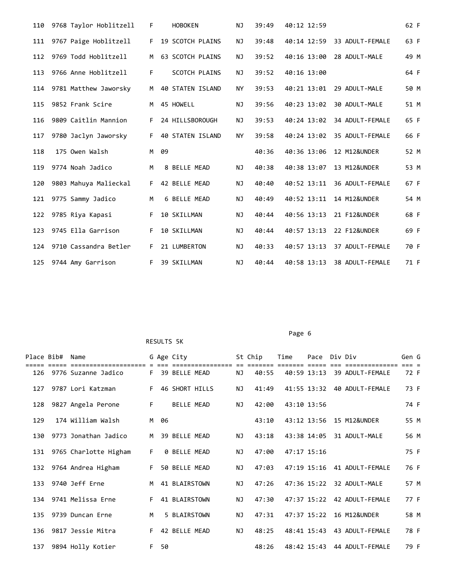| 110 | 9768 Taylor Hoblitzell | F. |    | <b>HOBOKEN</b>          | NJ        | 39:49 | 40:12 12:59 |                 | 62 F |
|-----|------------------------|----|----|-------------------------|-----------|-------|-------------|-----------------|------|
| 111 | 9767 Paige Hoblitzell  | F. |    | <b>19 SCOTCH PLAINS</b> | ΝJ        | 39:48 | 40:14 12:59 | 33 ADULT-FEMALE | 63 F |
| 112 | 9769 Todd Hoblitzell   | M  |    | <b>63 SCOTCH PLAINS</b> | NJ        | 39:52 | 40:16 13:00 | 28 ADULT-MALE   | 49 M |
| 113 | 9766 Anne Hoblitzell   | F. |    | <b>SCOTCH PLAINS</b>    | ΝJ        | 39:52 | 40:16 13:00 |                 | 64 F |
| 114 | 9781 Matthew Jaworsky  | M  |    | 40 STATEN ISLAND        | <b>NY</b> | 39:53 | 40:21 13:01 | 29 ADULT-MALE   | 50 M |
| 115 | 9852 Frank Scire       | M  |    | 45 HOWELL               | ΝJ        | 39:56 | 40:23 13:02 | 30 ADULT-MALE   | 51 M |
| 116 | 9809 Caitlin Mannion   | F. |    | 24 HILLSBOROUGH         | NJ        | 39:53 | 40:24 13:02 | 34 ADULT-FEMALE | 65 F |
| 117 | 9780 Jaclyn Jaworsky   | F. |    | 40 STATEN ISLAND        | <b>NY</b> | 39:58 | 40:24 13:02 | 35 ADULT-FEMALE | 66 F |
| 118 | 175 Owen Walsh         | M  | 09 |                         |           | 40:36 | 40:36 13:06 | 12 M12&UNDER    | 52 M |
| 119 | 9774 Noah Jadico       | M  |    | 8 BELLE MEAD            | NJ        | 40:38 | 40:38 13:07 | 13 M12&UNDER    | 53 M |
| 120 | 9803 Mahuya Malieckal  |    |    | F 42 BELLE MEAD         | NJ        | 40:40 | 40:52 13:11 | 36 ADULT-FEMALE | 67 F |
| 121 | 9775 Sammy Jadico      | M  |    | 6 BELLE MEAD            | NJ        | 40:49 | 40:52 13:11 | 14 M12&UNDER    | 54 M |
| 122 | 9785 Riya Kapasi       | F. |    | 10 SKILLMAN             | NJ        | 40:44 | 40:56 13:13 | 21 F12&UNDER    | 68 F |
| 123 | 9745 Ella Garrison     | F. |    | 10 SKILLMAN             | ΝJ        | 40:44 | 40:57 13:13 | 22 F12&UNDER    | 69 F |
| 124 | 9710 Cassandra Betler  | F. |    | 21 LUMBERTON            | NJ        | 40:33 | 40:57 13:13 | 37 ADULT-FEMALE | 70 F |
| 125 | 9744 Amy Garrison      | F. |    | 39 SKILLMAN             | ΝJ        | 40:44 | 40:58 13:13 | 38 ADULT-FEMALE | 71 F |

## Page 6 and the contract of the contract of the contract of the contract of the contract of the contract of the contract of the contract of the contract of the contract of the contract of the contract of the contract of the

|     | Place Bib# Name |                         |       |    | G Age City     |                  |    | St Chip          | Time        | Pace Div Div        |                                  | Gen G |      |
|-----|-----------------|-------------------------|-------|----|----------------|------------------|----|------------------|-------------|---------------------|----------------------------------|-------|------|
|     |                 | 126 9776 Suzanne Jadico | E.    |    | 39 BELLE MEAD  | ================ | ΝJ | =======<br>40:55 | ======      | $==$<br>40:59 13:13 | =============<br>39 ADULT-FEMALE |       | 72 F |
| 127 |                 | 9787 Lori Katzman       | F     |    | 46 SHORT HILLS |                  | ΝJ | 41:49            |             | 41:55 13:32         | 40 ADULT-FEMALE                  |       | 73 F |
| 128 |                 | 9827 Angela Perone      | F.    |    | BELLE MEAD     |                  | NJ | 42:00            | 43:10 13:56 |                     |                                  |       | 74 F |
| 129 |                 | 174 William Walsh       | M     | 06 |                |                  |    | 43:10            |             | 43:12 13:56         | 15 M12&UNDER                     |       | 55 M |
| 130 |                 | 9773 Jonathan Jadico    | M     |    | 39 BELLE MEAD  |                  | ΝJ | 43:18            |             | 43:38 14:05         | 31 ADULT-MALE                    |       | 56 M |
| 131 |                 | 9765 Charlotte Higham   | F.    |    | 0 BELLE MEAD   |                  | ΝJ | 47:00            | 47:17 15:16 |                     |                                  |       | 75 F |
| 132 |                 | 9764 Andrea Higham      | F.    |    | 50 BELLE MEAD  |                  | ΝJ | 47:03            |             | 47:19 15:16         | 41 ADULT-FEMALE                  |       | 76 F |
| 133 |                 | 9740 Jeff Erne          | M     |    | 41 BLAIRSTOWN  |                  | ΝJ | 47:26            |             | 47:36 15:22         | 32 ADULT-MALE                    |       | 57 M |
| 134 |                 | 9741 Melissa Erne       | F.    |    | 41 BLAIRSTOWN  |                  | ΝJ | 47:30            |             | 47:37 15:22         | 42 ADULT-FEMALE                  |       | 77 F |
| 135 |                 | 9739 Duncan Erne        | M     |    | 5 BLAIRSTOWN   |                  | NJ | 47:31            |             | 47:37 15:22         | 16 M12&UNDER                     |       | 58 M |
| 136 |                 | 9817 Jessie Mitra       | F.    |    | 42 BELLE MEAD  |                  | NJ | 48:25            |             | 48:41 15:43         | 43 ADULT-FEMALE                  |       | 78 F |
| 137 |                 | 9894 Holly Kotier       | $F =$ | 50 |                |                  |    | 48:26            |             | 48:42 15:43         | 44 ADULT-FEMALE                  |       | 79 F |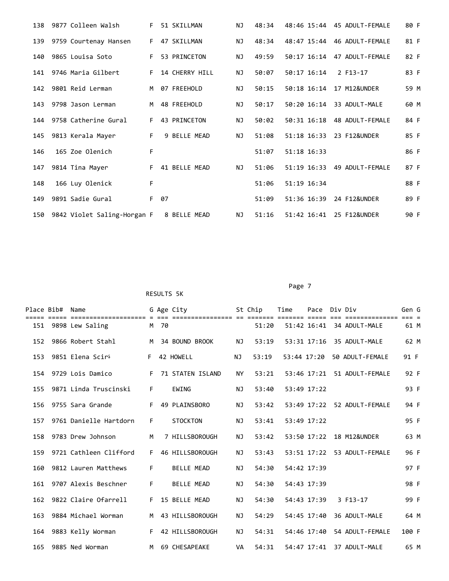| 138 | 9877 Colleen Walsh          | F. | 51 SKILLMAN    | NJ. | 48:34 |             | 48:46 15:44 45 ADULT-FEMALE       | 80 F |
|-----|-----------------------------|----|----------------|-----|-------|-------------|-----------------------------------|------|
| 139 | 9759 Courtenay Hansen       |    | F 47 SKILLMAN  | ΝJ  | 48:34 |             | 48:47 15:44 46 ADULT-FEMALE       | 81 F |
| 140 | 9865 Louisa Soto            | F. | 53 PRINCETON   | NJ  | 49:59 |             | 50:17 16:14 47 ADULT-FEMALE       | 82 F |
| 141 | 9746 Maria Gilbert          | F. | 14 CHERRY HILL | ΝJ  | 50:07 | 50:17 16:14 | 2 F13-17                          | 83 F |
| 142 | 9801 Reid Lerman            | M  | 07 FREEHOLD    | ΝJ  | 50:15 | 50:18 16:14 | 17 M12&UNDER                      | 59 M |
| 143 | 9798 Jason Lerman           | M  | 48 FREEHOLD    | ΝJ  | 50:17 | 50:20 16:14 | 33 ADULT-MALE                     | 60 M |
| 144 | 9758 Catherine Gural        | F. | 43 PRINCETON   | NJ  | 50:02 | 50:31 16:18 | 48 ADULT-FEMALE                   | 84 F |
| 145 | 9813 Kerala Mayer           | F. | 9 BELLE MEAD   | ΝJ  | 51:08 | 51:18 16:33 | 23 F12&UNDER                      | 85 F |
| 146 | 165 Zoe Olenich             | F  |                |     | 51:07 | 51:18 16:33 |                                   | 86 F |
| 147 | 9814 Tina Mayer             | F. | 41 BELLE MEAD  | ΝJ  | 51:06 |             | 51:19 16:33    49    ADULT-FEMALE | 87 F |
| 148 | 166 Luy Olenick             | F  |                |     | 51:06 | 51:19 16:34 |                                   | 88 F |
| 149 | 9891 Sadie Gural            | F. | 07             |     | 51:09 | 51:36 16:39 | 24 F12&UNDER                      | 89 F |
| 150 | 9842 Violet Saling-Horgan F |    | 8 BELLE MEAD   | ΝJ  | 51:16 | 51:42 16:41 | 25 F12&UNDER                      | 90 F |

Page 7 (1999) 2002 12:30 Page 7 (1999) 2003 12:30 Page 7 (1999) 2003 12:30 Page 7

| Place Bib# | Name                         |    |      | G Age City              |           | St Chip | Time        | Pace Div Div    |                 | Gen G |  |
|------------|------------------------------|----|------|-------------------------|-----------|---------|-------------|-----------------|-----------------|-------|--|
|            | 151 9898 Lew Saling          |    | M 70 |                         |           | 51:20   |             | 51:42 16:41     | 34 ADULT-MALE   | 61 M  |  |
| 152        | 9866 Robert Stahl            | M  |      | 34 BOUND BROOK          | ΝJ        | 53:19   |             | 53:31 17:16     | 35 ADULT-MALE   | 62 M  |  |
| 153        | 9851 Elena Scir <sup>5</sup> | F. |      | 42 HOWELL               | NJ        | 53:19   | 53:44 17:20 |                 | 50 ADULT-FEMALE | 91 F  |  |
| 154        | 9729 Lois Damico             | F. |      | <b>71 STATEN ISLAND</b> | <b>NY</b> | 53:21   |             | 53:46 17:21     | 51 ADULT-FEMALE | 92 F  |  |
| 155        | 9871 Linda Truscinski        | F. |      | <b>EWING</b>            | ΝJ        | 53:40   |             | 53:49 17:22     |                 | 93 F  |  |
| 156        | 9755 Sara Grande             | F  |      | 49 PLAINSBORO           | ΝJ        | 53:42   |             | 53:49 17:22     | 52 ADULT-FEMALE | 94 F  |  |
| 157        | 9761 Danielle Hartdorn       | F. |      | <b>STOCKTON</b>         | ΝJ        | 53:41   |             | 53:49 17:22     |                 | 95 F  |  |
| 158        | 9783 Drew Johnson            | M  |      | 7 HILLSBOROUGH          | ΝJ        | 53:42   |             | 53:50 17:22     | 18 M12&UNDER    | 63 M  |  |
| 159        | 9721 Cathleen Clifford       | F. |      | 46 HILLSBOROUGH         | ΝJ        | 53:43   |             | $53:51$ $17:22$ | 53 ADULT-FEMALE | 96 F  |  |
| 160        | 9812 Lauren Matthews         | F. |      | <b>BELLE MEAD</b>       | ΝJ        | 54:30   | 54:42 17:39 |                 |                 | 97 F  |  |
| 161        | 9707 Alexis Beschner         | F. |      | <b>BELLE MEAD</b>       | ΝJ        | 54:30   |             | 54:43 17:39     |                 | 98 F  |  |
| 162        | 9822 Claire Ofarrell         | F. |      | 15 BELLE MEAD           | NJ        | 54:30   |             | 54:43 17:39     | 3 F13-17        | 99 F  |  |
| 163        | 9884 Michael Worman          | M  |      | 43 HILLSBOROUGH         | ΝJ        | 54:29   |             | 54:45 17:40     | 36 ADULT-MALE   | 64 M  |  |
| 164        | 9883 Kelly Worman            | F. |      | 42 HILLSBOROUGH         | ΝJ        | 54:31   |             | 54:46 17:40     | 54 ADULT-FEMALE | 100 F |  |
| 165        | 9885 Ned Worman              | M  |      | 69 CHESAPEAKE           | VA        | 54:31   |             | 54:47 17:41     | 37 ADULT-MALE   | 65 M  |  |